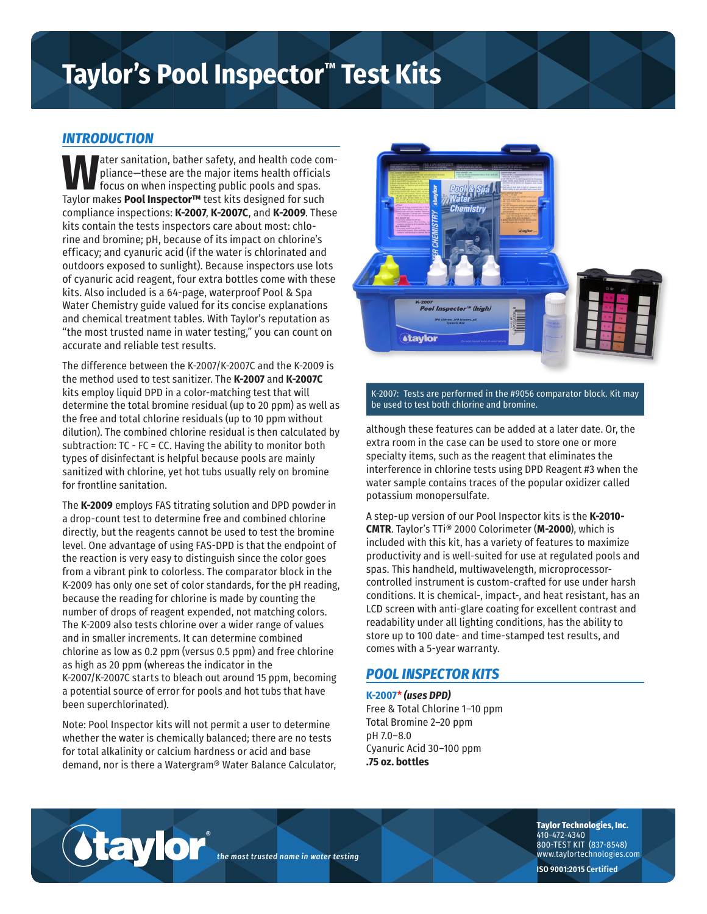# **Taylor's Pool Inspector™ Test Kits**

## *INTRODUCTION*

**W**ater sanitation, bather safety, and health code compliance—these are the major items health officials focus on when inspecting public pools and spas. Taylor makes **Pool Inspector™** test kits designed for such compliance inspections: **K-2007**, **K-2007C**, and **K-2009**. These kits contain the tests inspectors care about most: chlorine and bromine; pH, because of its impact on chlorine's efficacy; and cyanuric acid (if the water is chlorinated and outdoors exposed to sunlight). Because inspectors use lots of cyanuric acid reagent, four extra bottles come with these kits. Also included is a 64-page, waterproof Pool & Spa Water Chemistry guide valued for its concise explanations and chemical treatment tables. With Taylor's reputation as "the most trusted name in water testing," you can count on accurate and reliable test results.

The difference between the K-2007/K-2007C and the K-2009 is the method used to test sanitizer. The **K-2007** and **K-2007C** kits employ liquid DPD in a color-matching test that will determine the total bromine residual (up to 20 ppm) as well as the free and total chlorine residuals (up to 10 ppm without dilution). The combined chlorine residual is then calculated by subtraction: TC - FC = CC. Having the ability to monitor both types of disinfectant is helpful because pools are mainly sanitized with chlorine, yet hot tubs usually rely on bromine for frontline sanitation.

The **K-2009** employs FAS titrating solution and DPD powder in a drop-count test to determine free and combined chlorine directly, but the reagents cannot be used to test the bromine level. One advantage of using FAS-DPD is that the endpoint of the reaction is very easy to distinguish since the color goes from a vibrant pink to colorless. The comparator block in the K-2009 has only one set of color standards, for the pH reading, because the reading for chlorine is made by counting the number of drops of reagent expended, not matching colors. The K-2009 also tests chlorine over a wider range of values and in smaller increments. It can determine combined chlorine as low as 0.2 ppm (versus 0.5 ppm) and free chlorine as high as 20 ppm (whereas the indicator in the K-2007/K-2007C starts to bleach out around 15 ppm, becoming a potential source of error for pools and hot tubs that have been superchlorinated).

Note: Pool Inspector kits will not permit a user to determine whether the water is chemically balanced; there are no tests for total alkalinity or calcium hardness or acid and base demand, nor is there a Watergram® Water Balance Calculator,

®

taylor



#### K-2007: Tests are performed in the #9056 comparator block. Kit may be used to test both chlorine and bromine.

although these features can be added at a later date. Or, the extra room in the case can be used to store one or more specialty items, such as the reagent that eliminates the interference in chlorine tests using DPD Reagent #3 when the water sample contains traces of the popular oxidizer called potassium monopersulfate.

A step-up version of our Pool Inspector kits is the **K-2010- CMTR**. Taylor's TTi® 2000 Colorimeter (**M-2000**), which is included with this kit, has a variety of features to maximize productivity and is well-suited for use at regulated pools and spas. This handheld, multiwavelength, microprocessorcontrolled instrument is custom-crafted for use under harsh conditions. It is chemical-, impact-, and heat resistant, has an LCD screen with anti-glare coating for excellent contrast and readability under all lighting conditions, has the ability to store up to 100 date- and time-stamped test results, and comes with a 5-year warranty.

# *POOL INSPECTOR KITS*

**K-2007**\* *(uses DPD)* Free & Total Chlorine 1–10 ppm Total Bromine 2–20 ppm pH 7.0–8.0 Cyanuric Acid 30–100 ppm **.75 oz. bottles**

*the most trusted name in water testing*

**Taylor Technologies, Inc.** 410-472-4340 800-TEST KIT (837-8548) www.taylortechnologies.com

**ISO 9001:2015 Certified**